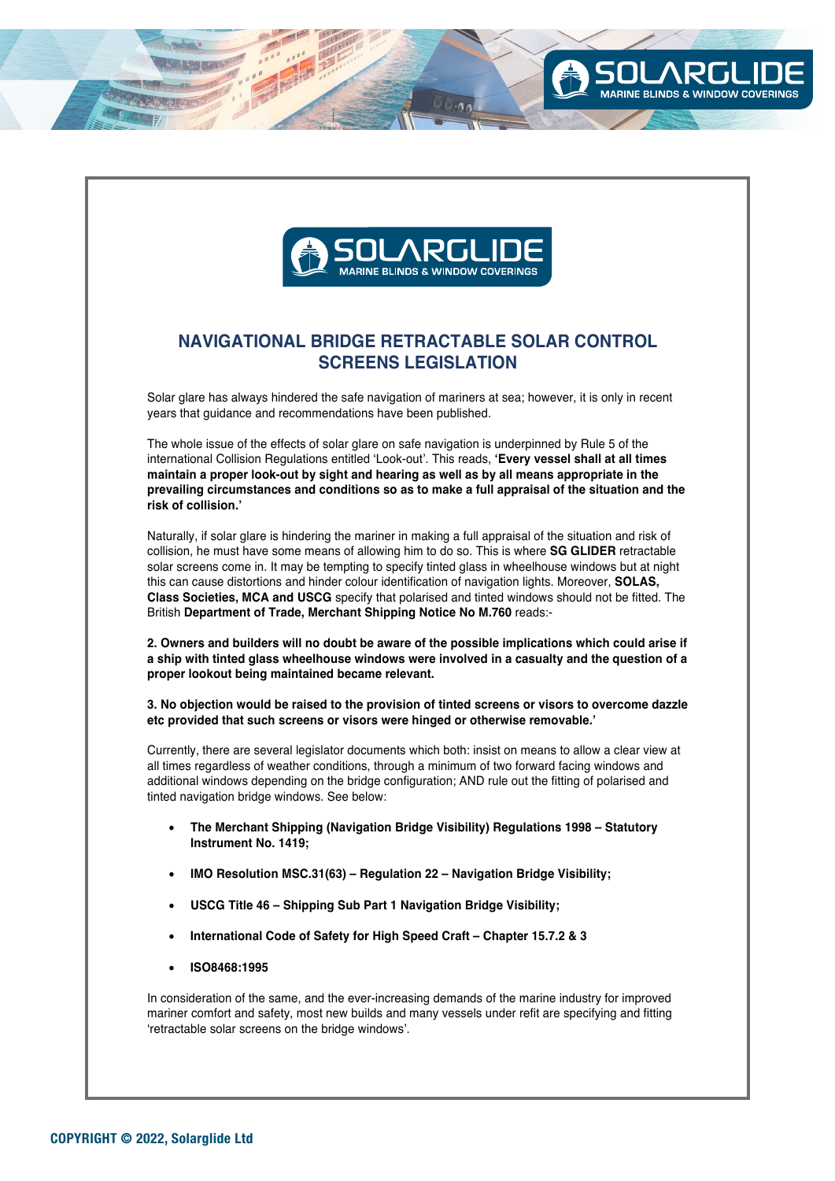

LINDS & WINDOW COVERINGS

## **NAVIGATIONAL BRIDGE RETRACTABLE SOLAR CONTROL SCREENS LEGISLATION**

Solar glare has always hindered the safe navigation of mariners at sea; however, it is only in recent years that guidance and recommendations have been published.

The whole issue of the effects of solar glare on safe navigation is underpinned by Rule 5 of the international Collision Regulations entitled 'Look-out'. This reads, **'Every vessel shall at all times maintain a proper look-out by sight and hearing as well as by all means appropriate in the prevailing circumstances and conditions so as to make a full appraisal of the situation and the risk of collision.'**

Naturally, if solar glare is hindering the mariner in making a full appraisal of the situation and risk of collision, he must have some means of allowing him to do so. This is where **SG GLIDER** retractable solar screens come in. It may be tempting to specify tinted glass in wheelhouse windows but at night this can cause distortions and hinder colour identification of navigation lights. Moreover, **SOLAS, Class Societies, MCA and USCG** specify that polarised and tinted windows should not be fitted. The British **Department of Trade, Merchant Shipping Notice No M.760** reads:-

**2. Owners and builders will no doubt be aware of the possible implications which could arise if a ship with tinted glass wheelhouse windows were involved in a casualty and the question of a proper lookout being maintained became relevant.**

**3. No objection would be raised to the provision of tinted screens or visors to overcome dazzle etc provided that such screens or visors were hinged or otherwise removable.'**

Currently, there are several legislator documents which both: insist on means to allow a clear view at all times regardless of weather conditions, through a minimum of two forward facing windows and additional windows depending on the bridge configuration; AND rule out the fitting of polarised and tinted navigation bridge windows. See below:

- **The Merchant Shipping (Navigation Bridge Visibility) Regulations 1998 Statutory Instrument No. 1419;**
- **IMO Resolution MSC.31(63) Regulation 22 Navigation Bridge Visibility;**
- **USCG Title 46 Shipping Sub Part 1 Navigation Bridge Visibility;**
- **International Code of Safety for High Speed Craft Chapter 15.7.2 & 3**
- **ISO8468:1995**

In consideration of the same, and the ever-increasing demands of the marine industry for improved mariner comfort and safety, most new builds and many vessels under refit are specifying and fitting 'retractable solar screens on the bridge windows'.